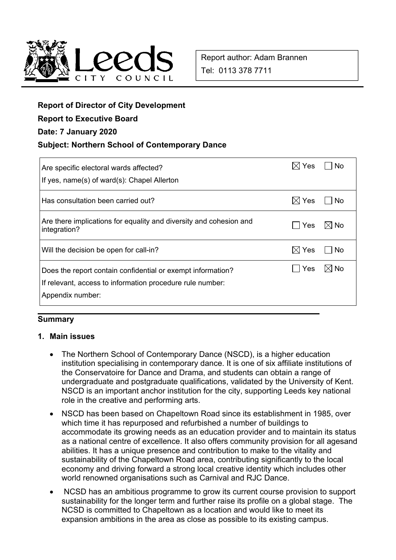

# **Report of Director of City Development**

**Report to Executive Board** 

#### **Date: 7 January 2020**

#### **Subject: Northern School of Contemporary Dance**

| Are specific electoral wards affected?<br>If yes, name(s) of ward(s): Chapel Allerton                                                        | Yes             | N٥             |
|----------------------------------------------------------------------------------------------------------------------------------------------|-----------------|----------------|
| Has consultation been carried out?                                                                                                           | $\boxtimes$ Yes | l No           |
| Are there implications for equality and diversity and cohesion and<br>integration?                                                           | <b>Yes</b>      | l⊠ No          |
| Will the decision be open for call-in?                                                                                                       | $\times$ l Yes  | No             |
| Does the report contain confidential or exempt information?<br>If relevant, access to information procedure rule number:<br>Appendix number: | Yes             | $\boxtimes$ No |

## **Summary**

#### **1. Main issues**

- The Northern School of Contemporary Dance (NSCD), is a higher education institution specialising in contemporary dance. It is one of six affiliate institutions of the Conservatoire for Dance and Drama, and students can obtain a range of undergraduate and postgraduate qualifications, validated by the University of Kent. NSCD is an important anchor institution for the city, supporting Leeds key national role in the creative and performing arts.
- NSCD has been based on Chapeltown Road since its establishment in 1985, over which time it has repurposed and refurbished a number of buildings to accommodate its growing needs as an education provider and to maintain its status as a national centre of excellence. It also offers community provision for all agesand abilities. It has a unique presence and contribution to make to the vitality and sustainability of the Chapeltown Road area, contributing significantly to the local economy and driving forward a strong local creative identity which includes other world renowned organisations such as Carnival and RJC Dance.
- NCSD has an ambitious programme to grow its current course provision to support sustainability for the longer term and further raise its profile on a global stage. The NCSD is committed to Chapeltown as a location and would like to meet its expansion ambitions in the area as close as possible to its existing campus.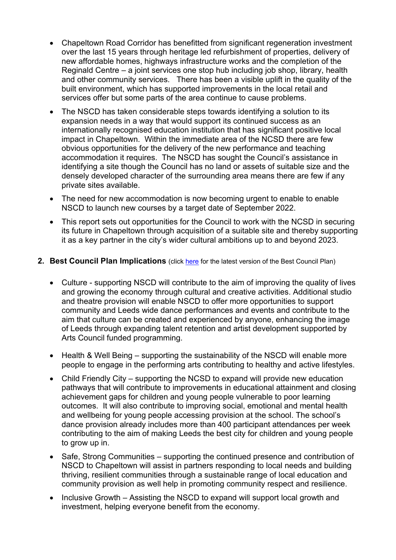- Chapeltown Road Corridor has benefitted from significant regeneration investment over the last 15 years through heritage led refurbishment of properties, delivery of new affordable homes, highways infrastructure works and the completion of the Reginald Centre – a joint services one stop hub including job shop, library, health and other community services. There has been a visible uplift in the quality of the built environment, which has supported improvements in the local retail and services offer but some parts of the area continue to cause problems.
- The NSCD has taken considerable steps towards identifying a solution to its expansion needs in a way that would support its continued success as an internationally recognised education institution that has significant positive local impact in Chapeltown. Within the immediate area of the NCSD there are few obvious opportunities for the delivery of the new performance and teaching accommodation it requires. The NSCD has sought the Council's assistance in identifying a site though the Council has no land or assets of suitable size and the densely developed character of the surrounding area means there are few if any private sites available.
- The need for new accommodation is now becoming urgent to enable to enable NSCD to launch new courses by a target date of September 2022.
- This report sets out opportunities for the Council to work with the NCSD in securing its future in Chapeltown through acquisition of a suitable site and thereby supporting it as a key partner in the city's wider cultural ambitions up to and beyond 2023.

#### **2. Best Council Plan Implications** (click here for the latest version of the Best Council Plan)

- Culture supporting NSCD will contribute to the aim of improving the quality of lives and growing the economy through cultural and creative activities. Additional studio and theatre provision will enable NSCD to offer more opportunities to support community and Leeds wide dance performances and events and contribute to the aim that culture can be created and experienced by anyone, enhancing the image of Leeds through expanding talent retention and artist development supported by Arts Council funded programming.
- Health & Well Being supporting the sustainability of the NSCD will enable more people to engage in the performing arts contributing to healthy and active lifestyles.
- Child Friendly City supporting the NCSD to expand will provide new education pathways that will contribute to improvements in educational attainment and closing achievement gaps for children and young people vulnerable to poor learning outcomes. It will also contribute to improving social, emotional and mental health and wellbeing for young people accessing provision at the school. The school's dance provision already includes more than 400 participant attendances per week contributing to the aim of making Leeds the best city for children and young people to grow up in.
- Safe, Strong Communities supporting the continued presence and contribution of NSCD to Chapeltown will assist in partners responding to local needs and building thriving, resilient communities through a sustainable range of local education and community provision as well help in promoting community respect and resilience.
- Inclusive Growth Assisting the NSCD to expand will support local growth and investment, helping everyone benefit from the economy.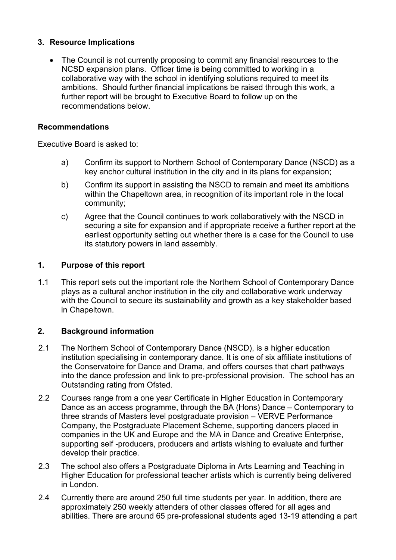## **3. Resource Implications**

• The Council is not currently proposing to commit any financial resources to the NCSD expansion plans. Officer time is being committed to working in a collaborative way with the school in identifying solutions required to meet its ambitions. Should further financial implications be raised through this work, a further report will be brought to Executive Board to follow up on the recommendations below.

## **Recommendations**

Executive Board is asked to:

- a) Confirm its support to Northern School of Contemporary Dance (NSCD) as a key anchor cultural institution in the city and in its plans for expansion;
- b) Confirm its support in assisting the NSCD to remain and meet its ambitions within the Chapeltown area, in recognition of its important role in the local community;
- c) Agree that the Council continues to work collaboratively with the NSCD in securing a site for expansion and if appropriate receive a further report at the earliest opportunity setting out whether there is a case for the Council to use its statutory powers in land assembly.

## **1. Purpose of this report**

1.1 This report sets out the important role the Northern School of Contemporary Dance plays as a cultural anchor institution in the city and collaborative work underway with the Council to secure its sustainability and growth as a key stakeholder based in Chapeltown.

## **2. Background information**

- 2.1 The Northern School of Contemporary Dance (NSCD), is a higher education institution specialising in contemporary dance. It is one of six affiliate institutions of the Conservatoire for Dance and Drama, and offers courses that chart pathways into the dance profession and link to pre-professional provision. The school has an Outstanding rating from Ofsted.
- 2.2 Courses range from a one year Certificate in Higher Education in Contemporary Dance as an access programme, through the BA (Hons) Dance – Contemporary to three strands of Masters level postgraduate provision – VERVE Performance Company, the Postgraduate Placement Scheme, supporting dancers placed in companies in the UK and Europe and the MA in Dance and Creative Enterprise, supporting self -producers, producers and artists wishing to evaluate and further develop their practice.
- 2.3 The school also offers a Postgraduate Diploma in Arts Learning and Teaching in Higher Education for professional teacher artists which is currently being delivered in London.
- 2.4 Currently there are around 250 full time students per year. In addition, there are approximately 250 weekly attenders of other classes offered for all ages and abilities. There are around 65 pre-professional students aged 13-19 attending a part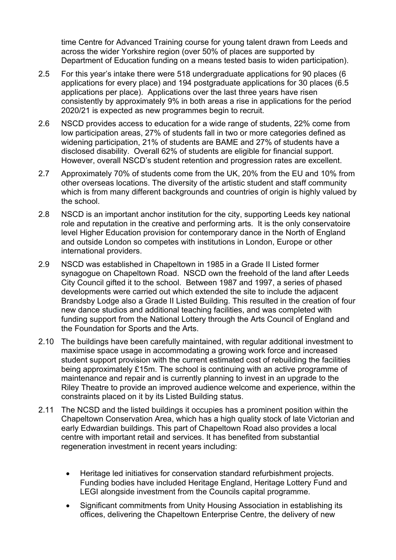time Centre for Advanced Training course for young talent drawn from Leeds and across the wider Yorkshire region (over 50% of places are supported by Department of Education funding on a means tested basis to widen participation).

- 2.5 For this year's intake there were 518 undergraduate applications for 90 places (6 applications for every place) and 194 postgraduate applications for 30 places (6.5 applications per place). Applications over the last three years have risen consistently by approximately 9% in both areas a rise in applications for the period 2020/21 is expected as new programmes begin to recruit.
- 2.6 NSCD provides access to education for a wide range of students, 22% come from low participation areas, 27% of students fall in two or more categories defined as widening participation, 21% of students are BAME and 27% of students have a disclosed disability. Overall 62% of students are eligible for financial support. However, overall NSCD's student retention and progression rates are excellent.
- 2.7 Approximately 70% of students come from the UK, 20% from the EU and 10% from other overseas locations. The diversity of the artistic student and staff community which is from many different backgrounds and countries of origin is highly valued by the school.
- 2.8 NSCD is an important anchor institution for the city, supporting Leeds key national role and reputation in the creative and performing arts. It is the only conservatoire level Higher Education provision for contemporary dance in the North of England and outside London so competes with institutions in London, Europe or other international providers.
- 2.9 NSCD was established in Chapeltown in 1985 in a Grade II Listed former synagogue on Chapeltown Road. NSCD own the freehold of the land after Leeds City Council gifted it to the school. Between 1987 and 1997, a series of phased developments were carried out which extended the site to include the adjacent Brandsby Lodge also a Grade II Listed Building. This resulted in the creation of four new dance studios and additional teaching facilities, and was completed with funding support from the National Lottery through the Arts Council of England and the Foundation for Sports and the Arts.
- 2.10 The buildings have been carefully maintained, with regular additional investment to maximise space usage in accommodating a growing work force and increased student support provision with the current estimated cost of rebuilding the facilities being approximately £15m. The school is continuing with an active programme of maintenance and repair and is currently planning to invest in an upgrade to the Riley Theatre to provide an improved audience welcome and experience, within the constraints placed on it by its Listed Building status.
- 2.11 The NCSD and the listed buildings it occupies has a prominent position within the Chapeltown Conservation Area, which has a high quality stock of late Victorian and early Edwardian buildings. This part of Chapeltown Road also provides a local centre with important retail and services. It has benefited from substantial regeneration investment in recent years including:
	- Heritage led initiatives for conservation standard refurbishment projects. Funding bodies have included Heritage England, Heritage Lottery Fund and LEGI alongside investment from the Councils capital programme.
	- Significant commitments from Unity Housing Association in establishing its offices, delivering the Chapeltown Enterprise Centre, the delivery of new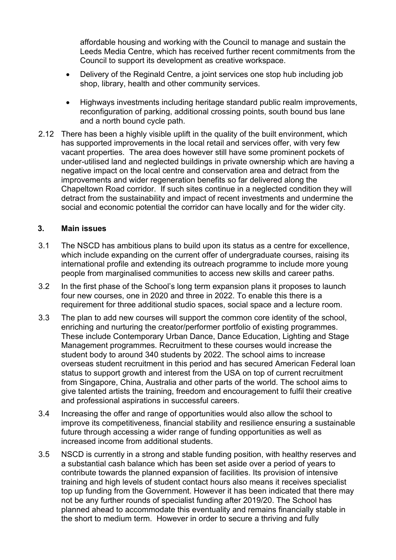affordable housing and working with the Council to manage and sustain the Leeds Media Centre, which has received further recent commitments from the Council to support its development as creative workspace.

- Delivery of the Reginald Centre, a joint services one stop hub including job shop, library, health and other community services.
- Highways investments including heritage standard public realm improvements, reconfiguration of parking, additional crossing points, south bound bus lane and a north bound cycle path.
- 2.12 There has been a highly visible uplift in the quality of the built environment, which has supported improvements in the local retail and services offer, with very few vacant properties. The area does however still have some prominent pockets of under-utilised land and neglected buildings in private ownership which are having a negative impact on the local centre and conservation area and detract from the improvements and wider regeneration benefits so far delivered along the Chapeltown Road corridor. If such sites continue in a neglected condition they will detract from the sustainability and impact of recent investments and undermine the social and economic potential the corridor can have locally and for the wider city.

#### **3. Main issues**

- 3.1 The NSCD has ambitious plans to build upon its status as a centre for excellence, which include expanding on the current offer of undergraduate courses, raising its international profile and extending its outreach programme to include more young people from marginalised communities to access new skills and career paths.
- 3.2 In the first phase of the School's long term expansion plans it proposes to launch four new courses, one in 2020 and three in 2022. To enable this there is a requirement for three additional studio spaces, social space and a lecture room.
- 3.3 The plan to add new courses will support the common core identity of the school, enriching and nurturing the creator/performer portfolio of existing programmes. These include Contemporary Urban Dance, Dance Education, Lighting and Stage Management programmes. Recruitment to these courses would increase the student body to around 340 students by 2022. The school aims to increase overseas student recruitment in this period and has secured American Federal loan status to support growth and interest from the USA on top of current recruitment from Singapore, China, Australia and other parts of the world. The school aims to give talented artists the training, freedom and encouragement to fulfil their creative and professional aspirations in successful careers.
- 3.4 Increasing the offer and range of opportunities would also allow the school to improve its competitiveness, financial stability and resilience ensuring a sustainable future through accessing a wider range of funding opportunities as well as increased income from additional students.
- 3.5 NSCD is currently in a strong and stable funding position, with healthy reserves and a substantial cash balance which has been set aside over a period of years to contribute towards the planned expansion of facilities. Its provision of intensive training and high levels of student contact hours also means it receives specialist top up funding from the Government. However it has been indicated that there may not be any further rounds of specialist funding after 2019/20. The School has planned ahead to accommodate this eventuality and remains financially stable in the short to medium term. However in order to secure a thriving and fully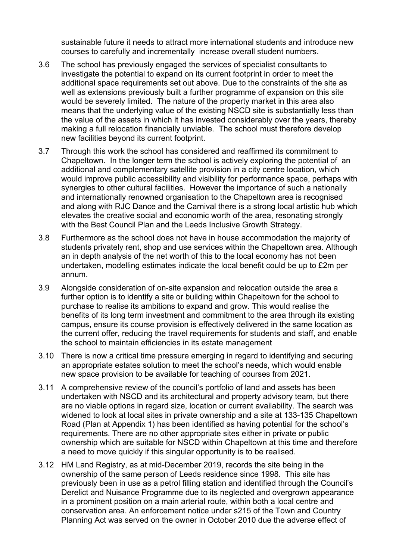sustainable future it needs to attract more international students and introduce new courses to carefully and incrementally increase overall student numbers.

- 3.6 The school has previously engaged the services of specialist consultants to investigate the potential to expand on its current footprint in order to meet the additional space requirements set out above. Due to the constraints of the site as well as extensions previously built a further programme of expansion on this site would be severely limited. The nature of the property market in this area also means that the underlying value of the existing NSCD site is substantially less than the value of the assets in which it has invested considerably over the years, thereby making a full relocation financially unviable. The school must therefore develop new facilities beyond its current footprint.
- 3.7 Through this work the school has considered and reaffirmed its commitment to Chapeltown. In the longer term the school is actively exploring the potential of an additional and complementary satellite provision in a city centre location, which would improve public accessibility and visibility for performance space, perhaps with synergies to other cultural facilities. However the importance of such a nationally and internationally renowned organisation to the Chapeltown area is recognised and along with RJC Dance and the Carnival there is a strong local artistic hub which elevates the creative social and economic worth of the area, resonating strongly with the Best Council Plan and the Leeds Inclusive Growth Strategy.
- 3.8 Furthermore as the school does not have in house accommodation the majority of students privately rent, shop and use services within the Chapeltown area. Although an in depth analysis of the net worth of this to the local economy has not been undertaken, modelling estimates indicate the local benefit could be up to £2m per annum.
- 3.9 Alongside consideration of on-site expansion and relocation outside the area a further option is to identify a site or building within Chapeltown for the school to purchase to realise its ambitions to expand and grow. This would realise the benefits of its long term investment and commitment to the area through its existing campus, ensure its course provision is effectively delivered in the same location as the current offer, reducing the travel requirements for students and staff, and enable the school to maintain efficiencies in its estate management
- 3.10 There is now a critical time pressure emerging in regard to identifying and securing an appropriate estates solution to meet the school's needs, which would enable new space provision to be available for teaching of courses from 2021.
- 3.11 A comprehensive review of the council's portfolio of land and assets has been undertaken with NSCD and its architectural and property advisory team, but there are no viable options in regard size, location or current availability. The search was widened to look at local sites in private ownership and a site at 133-135 Chapeltown Road (Plan at Appendix 1) has been identified as having potential for the school's requirements. There are no other appropriate sites either in private or public ownership which are suitable for NSCD within Chapeltown at this time and therefore a need to move quickly if this singular opportunity is to be realised.
- 3.12 HM Land Registry, as at mid-December 2019, records the site being in the ownership of the same person of Leeds residence since 1998. This site has previously been in use as a petrol filling station and identified through the Council's Derelict and Nuisance Programme due to its neglected and overgrown appearance in a prominent position on a main arterial route, within both a local centre and conservation area. An enforcement notice under s215 of the Town and Country Planning Act was served on the owner in October 2010 due the adverse effect of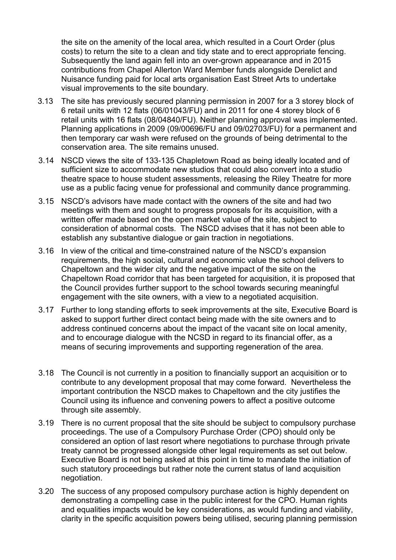the site on the amenity of the local area, which resulted in a Court Order (plus costs) to return the site to a clean and tidy state and to erect appropriate fencing. Subsequently the land again fell into an over-grown appearance and in 2015 contributions from Chapel Allerton Ward Member funds alongside Derelict and Nuisance funding paid for local arts organisation East Street Arts to undertake visual improvements to the site boundary.

- 3.13 The site has previously secured planning permission in 2007 for a 3 storey block of 6 retail units with 12 flats (06/01043/FU) and in 2011 for one 4 storey block of 6 retail units with 16 flats (08/04840/FU). Neither planning approval was implemented. Planning applications in 2009 (09/00696/FU and 09/02703/FU) for a permanent and then temporary car wash were refused on the grounds of being detrimental to the conservation area. The site remains unused.
- 3.14 NSCD views the site of 133-135 Chapletown Road as being ideally located and of sufficient size to accommodate new studios that could also convert into a studio theatre space to house student assessments, releasing the Riley Theatre for more use as a public facing venue for professional and community dance programming.
- 3.15 NSCD's advisors have made contact with the owners of the site and had two meetings with them and sought to progress proposals for its acquisition, with a written offer made based on the open market value of the site, subject to consideration of abnormal costs. The NSCD advises that it has not been able to establish any substantive dialogue or gain traction in negotiations.
- 3.16 In view of the critical and time-constrained nature of the NSCD's expansion requirements, the high social, cultural and economic value the school delivers to Chapeltown and the wider city and the negative impact of the site on the Chapeltown Road corridor that has been targeted for acquisition, it is proposed that the Council provides further support to the school towards securing meaningful engagement with the site owners, with a view to a negotiated acquisition.
- 3.17 Further to long standing efforts to seek improvements at the site, Executive Board is asked to support further direct contact being made with the site owners and to address continued concerns about the impact of the vacant site on local amenity, and to encourage dialogue with the NCSD in regard to its financial offer, as a means of securing improvements and supporting regeneration of the area.
- 3.18 The Council is not currently in a position to financially support an acquisition or to contribute to any development proposal that may come forward. Nevertheless the important contribution the NSCD makes to Chapeltown and the city justifies the Council using its influence and convening powers to affect a positive outcome through site assembly.
- 3.19 There is no current proposal that the site should be subject to compulsory purchase proceedings. The use of a Compulsory Purchase Order (CPO) should only be considered an option of last resort where negotiations to purchase through private treaty cannot be progressed alongside other legal requirements as set out below. Executive Board is not being asked at this point in time to mandate the initiation of such statutory proceedings but rather note the current status of land acquisition negotiation.
- 3.20 The success of any proposed compulsory purchase action is highly dependent on demonstrating a compelling case in the public interest for the CPO. Human rights and equalities impacts would be key considerations, as would funding and viability, clarity in the specific acquisition powers being utilised, securing planning permission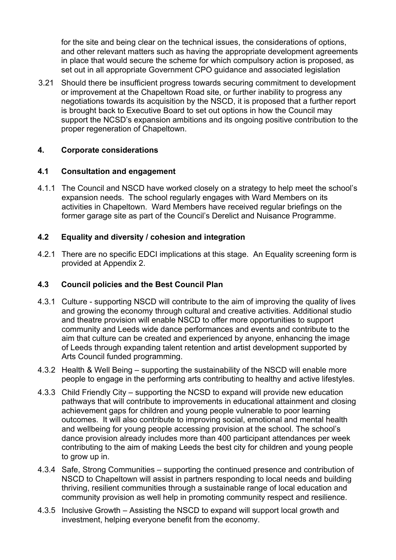for the site and being clear on the technical issues, the considerations of options, and other relevant matters such as having the appropriate development agreements in place that would secure the scheme for which compulsory action is proposed, as set out in all appropriate Government CPO guidance and associated legislation

3.21 Should there be insufficient progress towards securing commitment to development or improvement at the Chapeltown Road site, or further inability to progress any negotiations towards its acquisition by the NSCD, it is proposed that a further report is brought back to Executive Board to set out options in how the Council may support the NCSD's expansion ambitions and its ongoing positive contribution to the proper regeneration of Chapeltown.

## **4. Corporate considerations**

## **4.1 Consultation and engagement**

4.1.1 The Council and NSCD have worked closely on a strategy to help meet the school's expansion needs. The school regularly engages with Ward Members on its activities in Chapeltown. Ward Members have received regular briefings on the former garage site as part of the Council's Derelict and Nuisance Programme.

## **4.2 Equality and diversity / cohesion and integration**

4.2.1 There are no specific EDCI implications at this stage. An Equality screening form is provided at Appendix 2.

## **4.3 Council policies and the Best Council Plan**

- 4.3.1 Culture supporting NSCD will contribute to the aim of improving the quality of lives and growing the economy through cultural and creative activities. Additional studio and theatre provision will enable NSCD to offer more opportunities to support community and Leeds wide dance performances and events and contribute to the aim that culture can be created and experienced by anyone, enhancing the image of Leeds through expanding talent retention and artist development supported by Arts Council funded programming.
- 4.3.2 Health & Well Being supporting the sustainability of the NSCD will enable more people to engage in the performing arts contributing to healthy and active lifestyles.
- 4.3.3 Child Friendly City supporting the NCSD to expand will provide new education pathways that will contribute to improvements in educational attainment and closing achievement gaps for children and young people vulnerable to poor learning outcomes. It will also contribute to improving social, emotional and mental health and wellbeing for young people accessing provision at the school. The school's dance provision already includes more than 400 participant attendances per week contributing to the aim of making Leeds the best city for children and young people to grow up in.
- 4.3.4 Safe, Strong Communities supporting the continued presence and contribution of NSCD to Chapeltown will assist in partners responding to local needs and building thriving, resilient communities through a sustainable range of local education and community provision as well help in promoting community respect and resilience.
- 4.3.5 Inclusive Growth Assisting the NSCD to expand will support local growth and investment, helping everyone benefit from the economy.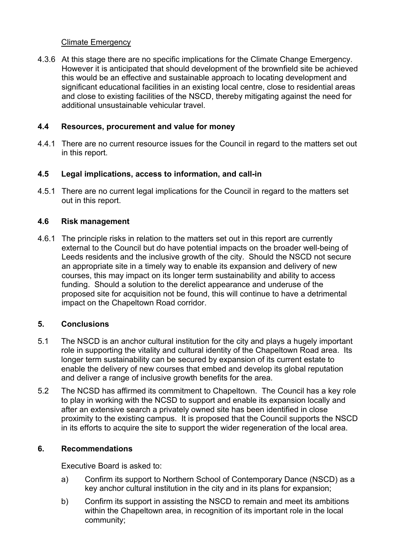## Climate Emergency

4.3.6 At this stage there are no specific implications for the Climate Change Emergency. However it is anticipated that should development of the brownfield site be achieved this would be an effective and sustainable approach to locating development and significant educational facilities in an existing local centre, close to residential areas and close to existing facilities of the NSCD, thereby mitigating against the need for additional unsustainable vehicular travel.

#### **4.4 Resources, procurement and value for money**

4.4.1 There are no current resource issues for the Council in regard to the matters set out in this report.

#### **4.5 Legal implications, access to information, and call-in**

4.5.1 There are no current legal implications for the Council in regard to the matters set out in this report.

#### **4.6 Risk management**

4.6.1 The principle risks in relation to the matters set out in this report are currently external to the Council but do have potential impacts on the broader well-being of Leeds residents and the inclusive growth of the city. Should the NSCD not secure an appropriate site in a timely way to enable its expansion and delivery of new courses, this may impact on its longer term sustainability and ability to access funding. Should a solution to the derelict appearance and underuse of the proposed site for acquisition not be found, this will continue to have a detrimental impact on the Chapeltown Road corridor.

## **5. Conclusions**

- 5.1 The NSCD is an anchor cultural institution for the city and plays a hugely important role in supporting the vitality and cultural identity of the Chapeltown Road area. Its longer term sustainability can be secured by expansion of its current estate to enable the delivery of new courses that embed and develop its global reputation and deliver a range of inclusive growth benefits for the area.
- 5.2 The NCSD has affirmed its commitment to Chapeltown. The Council has a key role to play in working with the NCSD to support and enable its expansion locally and after an extensive search a privately owned site has been identified in close proximity to the existing campus. It is proposed that the Council supports the NSCD in its efforts to acquire the site to support the wider regeneration of the local area.

## **6. Recommendations**

Executive Board is asked to:

- a) Confirm its support to Northern School of Contemporary Dance (NSCD) as a key anchor cultural institution in the city and in its plans for expansion;
- b) Confirm its support in assisting the NSCD to remain and meet its ambitions within the Chapeltown area, in recognition of its important role in the local community;